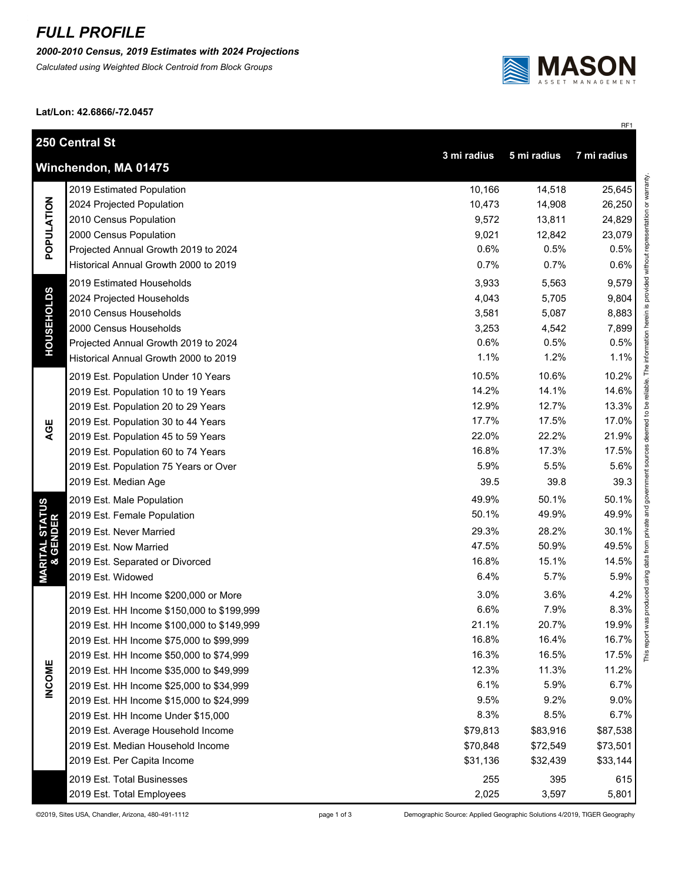## *FULL PROFILE*

*2000-2010 Census, 2019 Estimates with 2024 Projections*

*Calculated using Weighted Block Centroid from Block Groups*



RF1

This report was produced using data from private and government sources deemed to be reliable. The information herein is provided without representation or warranty.

**Lat/Lon: 42.6866/-72.0457**

|                                        | 250 Central St<br>3 mi radius<br>5 mi radius<br>7 mi radius |          |          |               |  |
|----------------------------------------|-------------------------------------------------------------|----------|----------|---------------|--|
| Winchendon, MA 01475                   |                                                             |          |          |               |  |
| POPULATION                             | 2019 Estimated Population                                   | 10,166   | 14,518   | 25,645        |  |
|                                        | 2024 Projected Population                                   | 10,473   | 14,908   | 26,250        |  |
|                                        | 2010 Census Population                                      | 9,572    | 13,811   | 24,829        |  |
|                                        | 2000 Census Population                                      | 9,021    | 12,842   | 23,079        |  |
|                                        | Projected Annual Growth 2019 to 2024                        | 0.6%     | 0.5%     | 0.5%          |  |
|                                        | Historical Annual Growth 2000 to 2019                       | 0.7%     | 0.7%     | 0.6%          |  |
| <b>HOUSEHOLDS</b>                      | 2019 Estimated Households                                   | 3,933    | 5,563    | 9,579         |  |
|                                        | 2024 Projected Households                                   | 4,043    | 5,705    | 9,804         |  |
|                                        | 2010 Census Households                                      | 3,581    | 5,087    | 8,883         |  |
|                                        | 2000 Census Households                                      | 3,253    | 4,542    | 7,899         |  |
|                                        | Projected Annual Growth 2019 to 2024                        | 0.6%     | 0.5%     | 0.5%          |  |
|                                        | Historical Annual Growth 2000 to 2019                       | 1.1%     | 1.2%     | 1.1%          |  |
|                                        | 2019 Est. Population Under 10 Years                         | 10.5%    | 10.6%    | 10.2%         |  |
|                                        | 2019 Est. Population 10 to 19 Years                         | 14.2%    | 14.1%    | 14.6%         |  |
|                                        | 2019 Est. Population 20 to 29 Years                         | 12.9%    | 12.7%    | 13.3%         |  |
|                                        | 2019 Est. Population 30 to 44 Years                         | 17.7%    | 17.5%    | 17.0%         |  |
| AGE                                    | 2019 Est. Population 45 to 59 Years                         | 22.0%    | 22.2%    | 21.9%         |  |
|                                        | 2019 Est. Population 60 to 74 Years                         | 16.8%    | 17.3%    | 17.5%         |  |
|                                        | 2019 Est. Population 75 Years or Over                       | 5.9%     | 5.5%     | 5.6%          |  |
|                                        | 2019 Est. Median Age                                        | 39.5     | 39.8     | 39.3          |  |
|                                        | 2019 Est. Male Population                                   | 49.9%    | 50.1%    | 50.1%         |  |
| <b>MARITAL STATUS<br/>&amp; GENDER</b> | 2019 Est. Female Population                                 | 50.1%    | 49.9%    | 49.9%         |  |
|                                        | 2019 Est. Never Married                                     | 29.3%    | 28.2%    | 30.1%         |  |
|                                        | 2019 Est. Now Married                                       | 47.5%    | 50.9%    | 49.5%         |  |
|                                        | 2019 Est. Separated or Divorced                             | 16.8%    | 15.1%    | 14.5%         |  |
|                                        | 2019 Est. Widowed                                           | 6.4%     | 5.7%     | 5.9%          |  |
|                                        | 2019 Est. HH Income \$200,000 or More                       | 3.0%     | 3.6%     | 4.2%          |  |
|                                        | 2019 Est. HH Income \$150,000 to \$199,999                  | 6.6%     | 7.9%     | 8.3%          |  |
|                                        | 2019 Est. HH Income \$100,000 to \$149,999                  | 21.1%    | 20.7%    | 19.9%         |  |
|                                        | 2019 Est. HH Income \$75,000 to \$99,999                    | 16.8%    | 16.4%    | 16.7%         |  |
|                                        | 2019 Est. HH Income \$50,000 to \$74,999                    | 16.3%    | 16.5%    | This<br>17.5% |  |
| <b>INCOME</b>                          | 2019 Est. HH Income \$35,000 to \$49,999                    | 12.3%    | 11.3%    | 11.2%         |  |
|                                        | 2019 Est. HH Income \$25,000 to \$34,999                    | 6.1%     | 5.9%     | 6.7%          |  |
|                                        | 2019 Est. HH Income \$15,000 to \$24,999                    | 9.5%     | 9.2%     | 9.0%          |  |
|                                        | 2019 Est. HH Income Under \$15,000                          | 8.3%     | 8.5%     | 6.7%          |  |
|                                        | 2019 Est. Average Household Income                          | \$79,813 | \$83,916 | \$87,538      |  |
|                                        | 2019 Est. Median Household Income                           | \$70,848 | \$72,549 | \$73,501      |  |
|                                        | 2019 Est. Per Capita Income                                 | \$31,136 | \$32,439 | \$33,144      |  |
|                                        | 2019 Est. Total Businesses                                  | 255      | 395      | 615           |  |
|                                        | 2019 Est. Total Employees                                   | 2,025    | 3,597    | 5,801         |  |
|                                        |                                                             |          |          |               |  |

©2019, Sites USA, Chandler, Arizona, 480-491-1112 page 1 of 3 Demographic Source: Applied Geographic Solutions 4/2019, TIGER Geography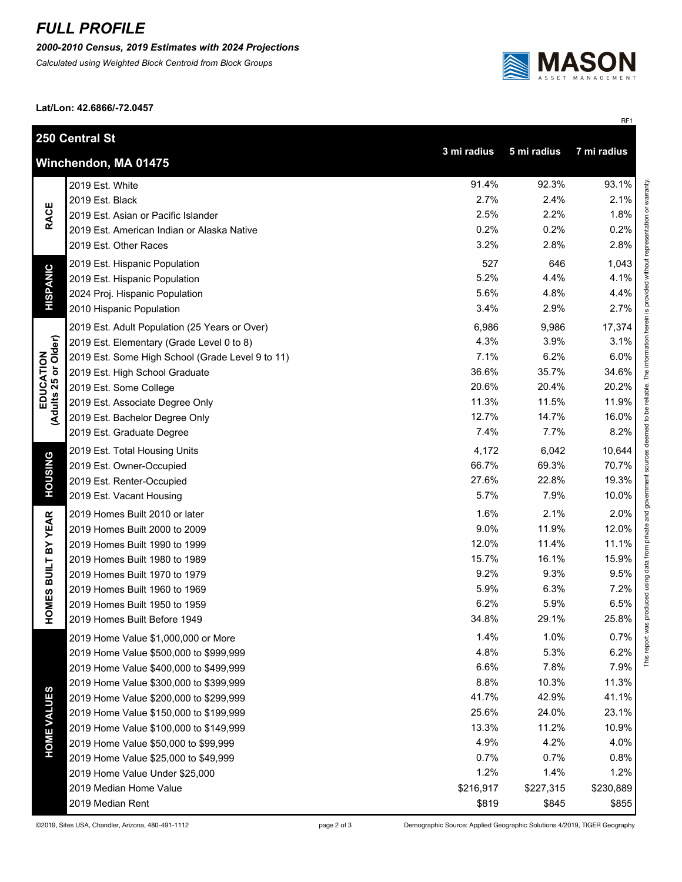## *FULL PROFILE*

*2000-2010 Census, 2019 Estimates with 2024 Projections*

*Calculated using Weighted Block Centroid from Block Groups*



RF1

**Lat/Lon: 42.6866/-72.0457**

| 250 Central St                                                    |                                                  |           |           |           |  |  |
|-------------------------------------------------------------------|--------------------------------------------------|-----------|-----------|-----------|--|--|
| 3 mi radius<br>5 mi radius<br>7 mi radius<br>Winchendon, MA 01475 |                                                  |           |           |           |  |  |
| <b>RACE</b>                                                       | 2019 Est. White                                  | 91.4%     | 92.3%     | 93.1%     |  |  |
|                                                                   | 2019 Est. Black                                  | 2.7%      | 2.4%      | 2.1%      |  |  |
|                                                                   | 2019 Est. Asian or Pacific Islander              | 2.5%      | 2.2%      | 1.8%      |  |  |
|                                                                   | 2019 Est. American Indian or Alaska Native       | 0.2%      | 0.2%      | 0.2%      |  |  |
|                                                                   | 2019 Est. Other Races                            | 3.2%      | 2.8%      | 2.8%      |  |  |
|                                                                   | 2019 Est. Hispanic Population                    | 527       | 646       | 1,043     |  |  |
|                                                                   | 2019 Est. Hispanic Population                    | 5.2%      | 4.4%      | 4.1%      |  |  |
| <b>HISPANIC</b>                                                   | 2024 Proj. Hispanic Population                   | 5.6%      | 4.8%      | 4.4%      |  |  |
|                                                                   | 2010 Hispanic Population                         | 3.4%      | 2.9%      | 2.7%      |  |  |
|                                                                   | 2019 Est. Adult Population (25 Years or Over)    | 6,986     | 9,986     | 17,374    |  |  |
|                                                                   | 2019 Est. Elementary (Grade Level 0 to 8)        | 4.3%      | 3.9%      | 3.1%      |  |  |
|                                                                   | 2019 Est. Some High School (Grade Level 9 to 11) | 7.1%      | 6.2%      | 6.0%      |  |  |
|                                                                   | 2019 Est. High School Graduate                   | 36.6%     | 35.7%     | 34.6%     |  |  |
|                                                                   | 2019 Est. Some College                           | 20.6%     | 20.4%     | 20.2%     |  |  |
|                                                                   | 2019 Est. Associate Degree Only                  | 11.3%     | 11.5%     | 11.9%     |  |  |
| EDUCATION<br>(Adults 25 or Older)                                 | 2019 Est. Bachelor Degree Only                   | 12.7%     | 14.7%     | 16.0%     |  |  |
|                                                                   | 2019 Est. Graduate Degree                        | 7.4%      | 7.7%      | 8.2%      |  |  |
|                                                                   | 2019 Est. Total Housing Units                    | 4,172     | 6,042     | 10,644    |  |  |
|                                                                   | 2019 Est. Owner-Occupied                         | 66.7%     | 69.3%     | 70.7%     |  |  |
| <b>HOUSING</b>                                                    | 2019 Est. Renter-Occupied                        | 27.6%     | 22.8%     | 19.3%     |  |  |
|                                                                   | 2019 Est. Vacant Housing                         | 5.7%      | 7.9%      | 10.0%     |  |  |
|                                                                   | 2019 Homes Built 2010 or later                   | 1.6%      | 2.1%      | 2.0%      |  |  |
| <b>BUILT BY YEAR</b>                                              | 2019 Homes Built 2000 to 2009                    | 9.0%      | 11.9%     | 12.0%     |  |  |
|                                                                   | 2019 Homes Built 1990 to 1999                    | 12.0%     | 11.4%     | 11.1%     |  |  |
|                                                                   | 2019 Homes Built 1980 to 1989                    | 15.7%     | 16.1%     | 15.9%     |  |  |
|                                                                   | 2019 Homes Built 1970 to 1979                    | 9.2%      | 9.3%      | 9.5%      |  |  |
|                                                                   | 2019 Homes Built 1960 to 1969                    | 5.9%      | 6.3%      | 7.2%      |  |  |
| HOMES                                                             | 2019 Homes Built 1950 to 1959                    | 6.2%      | 5.9%      | 6.5%      |  |  |
|                                                                   | 2019 Homes Built Before 1949                     | 34.8%     | 29.1%     | 25.8%     |  |  |
|                                                                   | 2019 Home Value \$1,000,000 or More              | 1.4%      | 1.0%      | 0.7%      |  |  |
|                                                                   | 2019 Home Value \$500,000 to \$999,999           | 4.8%      | 5.3%      | 6.2%      |  |  |
|                                                                   | 2019 Home Value \$400,000 to \$499,999           | 6.6%      | 7.8%      | 7.9%      |  |  |
|                                                                   | 2019 Home Value \$300,000 to \$399,999           | 8.8%      | 10.3%     | 11.3%     |  |  |
| <b>HOME VALUES</b>                                                | 2019 Home Value \$200,000 to \$299,999           | 41.7%     | 42.9%     | 41.1%     |  |  |
|                                                                   | 2019 Home Value \$150,000 to \$199,999           | 25.6%     | 24.0%     | 23.1%     |  |  |
|                                                                   | 2019 Home Value \$100,000 to \$149,999           | 13.3%     | 11.2%     | 10.9%     |  |  |
|                                                                   | 2019 Home Value \$50,000 to \$99,999             | 4.9%      | 4.2%      | 4.0%      |  |  |
|                                                                   | 2019 Home Value \$25,000 to \$49,999             | 0.7%      | 0.7%      | 0.8%      |  |  |
|                                                                   | 2019 Home Value Under \$25,000                   | 1.2%      | 1.4%      | 1.2%      |  |  |
|                                                                   | 2019 Median Home Value                           | \$216,917 | \$227,315 | \$230,889 |  |  |
|                                                                   | 2019 Median Rent                                 | \$819     | \$845     | \$855     |  |  |

©2019, Sites USA, Chandler, Arizona, 480-491-1112 page 2 of 3 Demographic Source: Applied Geographic Solutions 4/2019, TIGER Geography